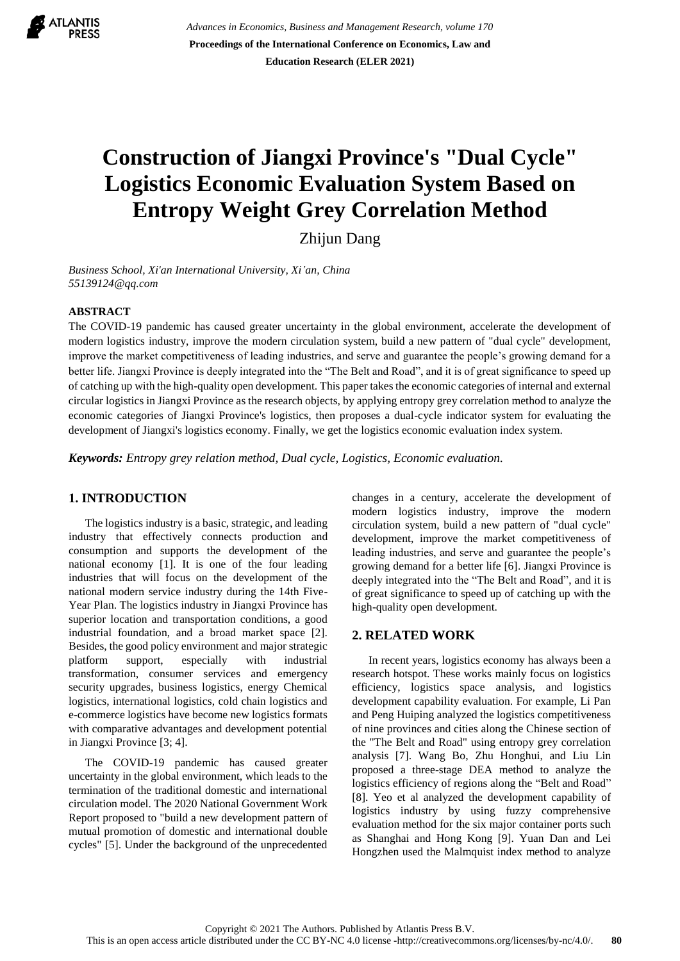

*Advances in Economics, Business and Management Research, volume 170* **Proceedings of the International Conference on Economics, Law and Education Research (ELER 2021)**

# **Construction of Jiangxi Province's "Dual Cycle" Logistics Economic Evaluation System Based on Entropy Weight Grey Correlation Method**

Zhijun Dang

*Business School, Xi'an International University, Xi'an, China [55139124@qq.com](mailto:author@example.com)*

#### **ABSTRACT**

The COVID-19 pandemic has caused greater uncertainty in the global environment, accelerate the development of modern logistics industry, improve the modern circulation system, build a new pattern of "dual cycle" development, improve the market competitiveness of leading industries, and serve and guarantee the people's growing demand for a better life. Jiangxi Province is deeply integrated into the "The Belt and Road", and it is of great significance to speed up of catching up with the high-quality open development. This paper takes the economic categories of internal and external circular logistics in Jiangxi Province as the research objects, by applying entropy grey correlation method to analyze the economic categories of Jiangxi Province's logistics, then proposes a dual-cycle indicator system for evaluating the development of Jiangxi's logistics economy. Finally, we get the logistics economic evaluation index system.

*Keywords: Entropy grey relation method, Dual cycle, Logistics, Economic evaluation.*

### **1. INTRODUCTION**

The logistics industry is a basic, strategic, and leading industry that effectively connects production and consumption and supports the development of the national economy [1]. It is one of the four leading industries that will focus on the development of the national modern service industry during the 14th Five-Year Plan. The logistics industry in Jiangxi Province has superior location and transportation conditions, a good industrial foundation, and a broad market space [2]. Besides, the good policy environment and major strategic platform support, especially with industrial transformation, consumer services and emergency security upgrades, business logistics, energy Chemical logistics, international logistics, cold chain logistics and e-commerce logistics have become new logistics formats with comparative advantages and development potential in Jiangxi Province [3; 4].

The COVID-19 pandemic has caused greater uncertainty in the global environment, which leads to the termination of the traditional domestic and international circulation model. The 2020 National Government Work Report proposed to "build a new development pattern of mutual promotion of domestic and international double cycles" [5]. Under the background of the unprecedented changes in a century, accelerate the development of modern logistics industry, improve the modern circulation system, build a new pattern of "dual cycle" development, improve the market competitiveness of leading industries, and serve and guarantee the people's growing demand for a better life [6]. Jiangxi Province is deeply integrated into the "The Belt and Road", and it is of great significance to speed up of catching up with the high-quality open development.

## **2. RELATED WORK**

In recent years, logistics economy has always been a research hotspot. These works mainly focus on logistics efficiency, logistics space analysis, and logistics development capability evaluation. For example, Li Pan and Peng Huiping analyzed the logistics competitiveness of nine provinces and cities along the Chinese section of the "The Belt and Road" using entropy grey correlation analysis [7]. Wang Bo, Zhu Honghui, and Liu Lin proposed a three-stage DEA method to analyze the logistics efficiency of regions along the "Belt and Road" [8]. Yeo et al analyzed the development capability of logistics industry by using fuzzy comprehensive evaluation method for the six major container ports such as Shanghai and Hong Kong [9]. Yuan Dan and Lei Hongzhen used the Malmquist index method to analyze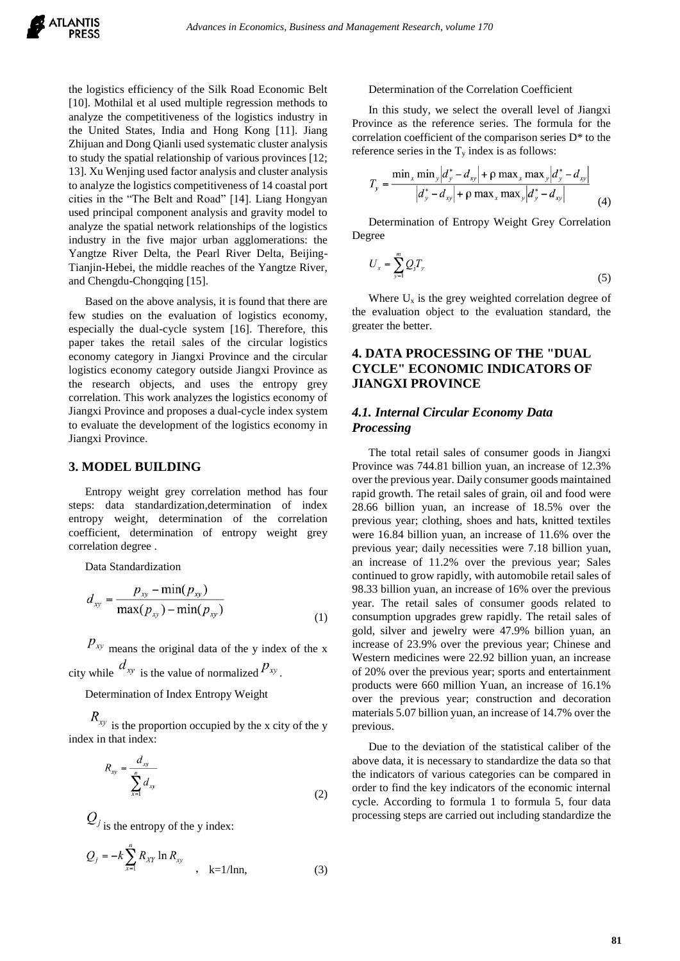the logistics efficiency of the Silk Road Economic Belt [10]. Mothilal et al used multiple regression methods to analyze the competitiveness of the logistics industry in the United States, India and Hong Kong [11]. Jiang Zhijuan and Dong Qianli used systematic cluster analysis to study the spatial relationship of various provinces [12; 13]. Xu Wenjing used factor analysis and cluster analysis to analyze the logistics competitiveness of 14 coastal port cities in the "The Belt and Road" [14]. Liang Hongyan used principal component analysis and gravity model to analyze the spatial network relationships of the logistics industry in the five major urban agglomerations: the Yangtze River Delta, the Pearl River Delta, Beijing-Tianjin-Hebei, the middle reaches of the Yangtze River, and Chengdu-Chongqing [15].

Based on the above analysis, it is found that there are few studies on the evaluation of logistics economy, especially the dual-cycle system [16]. Therefore, this paper takes the retail sales of the circular logistics economy category in Jiangxi Province and the circular logistics economy category outside Jiangxi Province as the research objects, and uses the entropy grey correlation. This work analyzes the logistics economy of Jiangxi Province and proposes a dual-cycle index system to evaluate the development of the logistics economy in Jiangxi Province.

#### **3. MODEL BUILDING**

Entropy weight grey correlation method has four steps: data standardization,determination of index entropy weight, determination of the correlation coefficient, determination of entropy weight grey correlation degree .

Data Standardization

$$
d_{xy} = \frac{p_{xy} - \min(p_{xy})}{\max(p_{xy}) - \min(p_{xy})}
$$
(1)

 $p_{xy}$  means the original data of the y index of the x city while  $d_{xy}$  is the value of normalized  $p_{xy}$ .

Determination of Index Entropy Weight

 $R_{xy}$  is the proportion occupied by the x city of the y index in that index:

$$
R_{xy} = \frac{d_{xy}}{\sum_{x=1}^{n} d_{xy}}
$$
 (2)

 $Q_j$  is the entropy of the y index:

$$
Q_j = -k \sum_{x=1}^{n} R_{XY} \ln R_{xy}
$$
, k=1/lnn, (3)

#### Determination of the Correlation Coefficient

In this study, we select the overall level of Jiangxi Province as the reference series. The formula for the correlation coefficient of the comparison series D\* to the reference series in the  $T<sub>y</sub>$  index is as follows:

$$
T_{y} = \frac{\min_{x} \min_{y} |d_{y}^{*} - d_{xy}| + \rho \max_{x} \max_{y} |d_{y}^{*} - d_{xy}|}{|d_{y}^{*} - d_{xy}| + \rho \max_{x} \max_{y} |d_{y}^{*} - d_{xy}|}
$$
(4)

Determination of Entropy Weight Grey Correlation Degree

$$
U_x = \sum_{y=1}^{m} Q_j T_y \tag{5}
$$

Where  $U_x$  is the grey weighted correlation degree of the evaluation object to the evaluation standard, the greater the better.

# **4. DATA PROCESSING OF THE "DUAL CYCLE" ECONOMIC INDICATORS OF JIANGXI PROVINCE**

## *4.1. Internal Circular Economy Data Processing*

The total retail sales of consumer goods in Jiangxi Province was 744.81 billion yuan, an increase of 12.3% over the previous year. Daily consumer goods maintained rapid growth. The retail sales of grain, oil and food were 28.66 billion yuan, an increase of 18.5% over the previous year; clothing, shoes and hats, knitted textiles were 16.84 billion yuan, an increase of 11.6% over the previous year; daily necessities were 7.18 billion yuan, an increase of 11.2% over the previous year; Sales continued to grow rapidly, with automobile retail sales of 98.33 billion yuan, an increase of 16% over the previous year. The retail sales of consumer goods related to consumption upgrades grew rapidly. The retail sales of gold, silver and jewelry were 47.9% billion yuan, an increase of 23.9% over the previous year; Chinese and Western medicines were 22.92 billion yuan, an increase of 20% over the previous year; sports and entertainment products were 660 million Yuan, an increase of 16.1% over the previous year; construction and decoration materials 5.07 billion yuan, an increase of 14.7% over the previous.

Due to the deviation of the statistical caliber of the above data, it is necessary to standardize the data so that the indicators of various categories can be compared in order to find the key indicators of the economic internal cycle. According to formula 1 to formula 5, four data processing steps are carried out including standardize the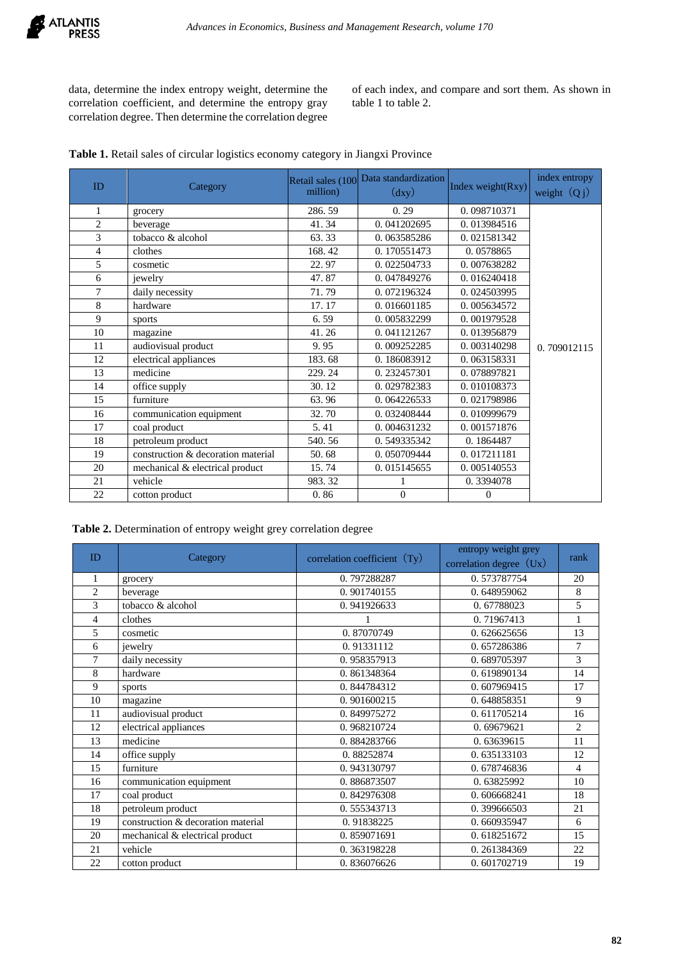data, determine the index entropy weight, determine the correlation coefficient, and determine the entropy gray correlation degree. Then determine the correlation degree of each index, and compare and sort them. As shown in table 1 to table 2.

| Table 1. Retail sales of circular logistics economy category in Jiangxi Province |  |
|----------------------------------------------------------------------------------|--|
|----------------------------------------------------------------------------------|--|

| ID             |                                    | Retail sales (100 | Data standardization         | Index weight(Rxy) | index entropy  |
|----------------|------------------------------------|-------------------|------------------------------|-------------------|----------------|
|                | Category                           | million)          | $\left(\frac{dy}{dy}\right)$ |                   | weight $(Q_j)$ |
| $\mathbf{1}$   | grocery                            | 286.59            | 0.29                         | 0.098710371       |                |
| $\overline{c}$ | beverage                           | 41.34             | 0.041202695                  | 0.013984516       |                |
| 3              | tobacco & alcohol                  | 63.33             | 0.063585286                  | 0.021581342       |                |
| $\overline{4}$ | clothes                            | 168.42            | 0.170551473                  | 0.0578865         |                |
| 5              | cosmetic                           | 22.97             | 0.022504733                  | 0.007638282       |                |
| 6              | jewelry                            | 47.87             | 0.047849276                  | 0.016240418       |                |
| 7              | daily necessity                    | 71.79             | 0.072196324                  | 0.024503995       |                |
| 8              | hardware                           | 17.17             | 0.016601185                  | 0.005634572       |                |
| 9              | sports                             | 6.59              | 0.005832299                  | 0.001979528       |                |
| 10             | magazine                           | 41.26             | 0.041121267                  | 0.013956879       |                |
| 11             | audiovisual product                | 9.95              | 0.009252285                  | 0.003140298       | 0.709012115    |
| 12             | electrical appliances              | 183.68            | 0.186083912                  | 0.063158331       |                |
| 13             | medicine                           | 229.24            | 0.232457301                  | 0.078897821       |                |
| 14             | office supply                      | 30.12             | 0.029782383                  | 0.010108373       |                |
| 15             | furniture                          | 63.96             | 0.064226533                  | 0.021798986       |                |
| 16             | communication equipment            | 32.70             | 0.032408444                  | 0.010999679       |                |
| 17             | coal product                       | 5.41              | 0.004631232                  | 0.001571876       |                |
| 18             | petroleum product                  | 540.56            | 0.549335342                  | 0.1864487         |                |
| 19             | construction & decoration material | 50.68             | 0.050709444                  | 0.017211181       |                |
| 20             | mechanical & electrical product    | 15.74             | 0.015145655                  | 0.005140553       |                |
| 21             | vehicle                            | 983.32            |                              | 0.3394078         |                |
| 22             | cotton product                     | 0.86              | $\Omega$                     | $\Omega$          |                |

**Table 2.** Determination of entropy weight grey correlation degree

| <b>ID</b>      | Category                           | correlation coefficient $(Ty)$ | entropy weight grey<br>correlation degree $(Ux)$ | rank           |
|----------------|------------------------------------|--------------------------------|--------------------------------------------------|----------------|
| $\mathbf{1}$   | grocery                            | 0.797288287                    | 0.573787754                                      | 20             |
| $\overline{2}$ | beverage                           | 0.901740155                    | 0.648959062                                      | 8              |
| 3              | tobacco & alcohol                  | 0.941926633                    | 0.67788023                                       | 5              |
| $\overline{4}$ | clothes                            |                                | 0.71967413                                       | $\mathbf{1}$   |
| 5              | cosmetic                           | 0.87070749                     | 0.626625656                                      | 13             |
| 6              | jewelry                            | 0.91331112                     | 0.657286386                                      | 7              |
| 7              | daily necessity                    | 0.958357913                    | 0.689705397                                      | 3              |
| 8              | hardware                           | 0.861348364                    | 0.619890134                                      | 14             |
| 9              | sports                             | 0.844784312                    | 0.607969415                                      | 17             |
| 10             | magazine                           | 0.901600215                    | 0.648858351                                      | 9              |
| 11             | audiovisual product                | 0.849975272                    | 0.611705214                                      | 16             |
| 12             | electrical appliances              | 0.968210724                    | 0.69679621                                       | $\overline{2}$ |
| 13             | medicine                           | 0.884283766                    | 0.63639615                                       | 11             |
| 14             | office supply                      | 0.88252874                     | 0.635133103                                      | 12             |
| 15             | furniture                          | 0.943130797                    | 0.678746836                                      | $\overline{4}$ |
| 16             | communication equipment            | 0.886873507                    | 0.63825992                                       | 10             |
| 17             | coal product                       | 0.842976308                    | 0.606668241                                      | 18             |
| 18             | petroleum product                  | 0.555343713                    | 0.399666503                                      | 21             |
| 19             | construction & decoration material | 0.91838225                     | 0.660935947                                      | 6              |
| 20             | mechanical & electrical product    | 0.859071691                    | 0.618251672                                      | 15             |
| 21             | vehicle                            | 0.363198228                    | 0.261384369                                      | 22             |
| 22             | cotton product                     | 0.836076626                    | 0.601702719                                      | 19             |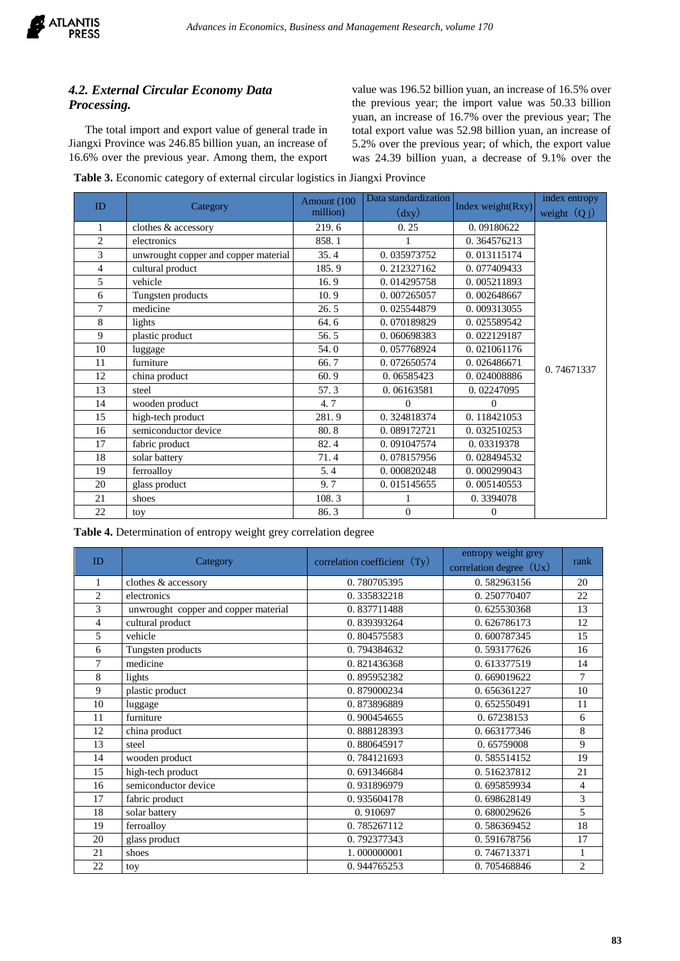

# *4.2. External Circular Economy Data Processing.*

The total import and export value of general trade in Jiangxi Province was 246.85 billion yuan, an increase of 16.6% over the previous year. Among them, the export

value was 196.52 billion yuan, an increase of 16.5% over the previous year; the import value was 50.33 billion yuan, an increase of 16.7% over the previous year; The total export value was 52.98 billion yuan, an increase of 5.2% over the previous year; of which, the export value was 24.39 billion yuan, a decrease of 9.1% over the

**Table 3.** Economic category of external circular logistics in Jiangxi Province

| ID             |                                      | Amount (100 | Data standardization |                   | index entropy  |  |
|----------------|--------------------------------------|-------------|----------------------|-------------------|----------------|--|
|                | Category                             | million)    | $\rm (day)$          | Index weight(Rxy) | weight $(Q_j)$ |  |
| 1              | clothes & accessory                  | 219.6       | 0.25                 | 0.09180622        |                |  |
| $\overline{2}$ | electronics                          | 858.1       |                      | 0.364576213       |                |  |
| 3              | unwrought copper and copper material | 35.4        | 0.035973752          | 0.013115174       |                |  |
| $\overline{4}$ | cultural product                     | 185.9       | 0.212327162          | 0.077409433       |                |  |
| 5              | vehicle                              | 16.9        | 0.014295758          | 0.005211893       |                |  |
| 6              | Tungsten products                    | 10.9        | 0.007265057          | 0.002648667       |                |  |
| 7              | medicine                             | 26.5        | 0.025544879          | 0.009313055       |                |  |
| 8              | lights                               | 64.6        | 0.070189829          | 0.025589542       |                |  |
| 9              | plastic product                      | 56.5        | 0.060698383          | 0.022129187       |                |  |
| 10             | luggage                              | 54.0        | 0.057768924          | 0.021061176       |                |  |
| 11             | furniture                            | 66.7        | 0.072650574          | 0.026486671       | 0.74671337     |  |
| 12             | china product                        | 60.9        | 0.06585423           | 0.024008886       |                |  |
| 13             | steel                                | 57.3        | 0.06163581           | 0.02247095        |                |  |
| 14             | wooden product                       | 4.7         | $\theta$             | $\Omega$          |                |  |
| 15             | high-tech product                    | 281.9       | 0.324818374          | 0.118421053       |                |  |
| 16             | semiconductor device                 | 80.8        | 0.089172721          | 0.032510253       |                |  |
| 17             | fabric product                       | 82.4        | 0.091047574          | 0.03319378        |                |  |
| 18             | solar battery                        | 71.4        | 0.078157956          | 0.028494532       |                |  |
| 19             | ferroalloy                           | 5.4         | 0.000820248          | 0.000299043       |                |  |
| 20             | glass product                        | 9.7         | 0.015145655          | 0.005140553       |                |  |
| 21             | shoes                                | 108.3       |                      | 0.3394078         |                |  |
| 22             | toy                                  | 86.3        | $\mathbf{0}$         | $\Omega$          |                |  |

**Table 4.** Determination of entropy weight grey correlation degree

| ID             | Category                             | correlation coefficient $(Ty)$ | entropy weight grey       | rank           |
|----------------|--------------------------------------|--------------------------------|---------------------------|----------------|
|                |                                      |                                | correlation degree $(Ux)$ |                |
| 1              | clothes & accessory                  | 0.780705395                    | 0.582963156               | 20             |
| $\overline{2}$ | electronics                          | 0.335832218                    | 0.250770407               | 22             |
| 3              | unwrought copper and copper material | 0.837711488                    | 0.625530368               | 13             |
| $\overline{4}$ | cultural product                     | 0.839393264                    | 0.626786173               | 12             |
| 5              | vehicle                              | 0.804575583                    | 0.600787345               | 15             |
| 6              | Tungsten products                    | 0.794384632                    | 0.593177626               | 16             |
| $\tau$         | medicine                             | 0.821436368                    | 0.613377519               | 14             |
| 8              | lights                               | 0.895952382                    | 0.669019622               | 7              |
| 9              | plastic product                      | 0.879000234                    | 0.656361227               | 10             |
| 10             | luggage                              | 0.873896889                    | 0.652550491               | 11             |
| 11             | furniture                            | 0.900454655                    | 0.67238153                | 6              |
| 12             | china product                        | 0.888128393                    | 0.663177346               | 8              |
| 13             | steel                                | 0.880645917                    | 0.65759008                | 9              |
| 14             | wooden product                       | 0.784121693                    | 0.585514152               | 19             |
| 15             | high-tech product                    | 0.691346684                    | 0.516237812               | 21             |
| 16             | semiconductor device                 | 0.931896979                    | 0.695859934               | 4              |
| 17             | fabric product                       | 0.935604178                    | 0.698628149               | $\overline{3}$ |
| 18             | solar battery                        | 0.910697                       | 0.680029626               | 5              |
| 19             | ferroalloy                           | 0.785267112                    | 0.586369452               | 18             |
| 20             | glass product                        | 0.792377343                    | 0.591678756               | 17             |
| 21             | shoes                                | 1.000000001                    | 0.746713371               | 1              |
| 22             | toy                                  | 0.944765253                    | 0.705468846               | $\overline{c}$ |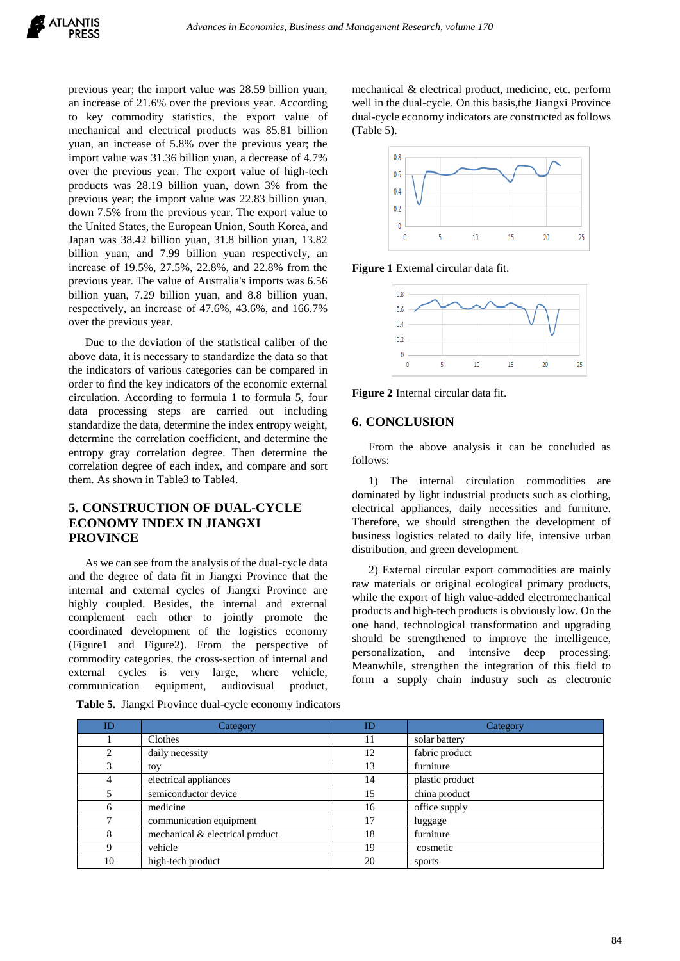previous year; the import value was 28.59 billion yuan, an increase of 21.6% over the previous year. According to key commodity statistics, the export value of mechanical and electrical products was 85.81 billion yuan, an increase of 5.8% over the previous year; the import value was 31.36 billion yuan, a decrease of 4.7% over the previous year. The export value of high-tech products was 28.19 billion yuan, down 3% from the previous year; the import value was 22.83 billion yuan, down 7.5% from the previous year. The export value to the United States, the European Union, South Korea, and Japan was 38.42 billion yuan, 31.8 billion yuan, 13.82 billion yuan, and 7.99 billion yuan respectively, an increase of 19.5%, 27.5%, 22.8%, and 22.8% from the previous year. The value of Australia's imports was 6.56 billion yuan, 7.29 billion yuan, and 8.8 billion yuan, respectively, an increase of 47.6%, 43.6%, and 166.7% over the previous year.

Due to the deviation of the statistical caliber of the above data, it is necessary to standardize the data so that the indicators of various categories can be compared in order to find the key indicators of the economic external circulation. According to formula 1 to formula 5, four data processing steps are carried out including standardize the data, determine the index entropy weight, determine the correlation coefficient, and determine the entropy gray correlation degree. Then determine the correlation degree of each index, and compare and sort them. As shown in Table3 to Table4.

# **5. CONSTRUCTION OF DUAL-CYCLE ECONOMY INDEX IN JIANGXI PROVINCE**

As we can see from the analysis of the dual-cycle data and the degree of data fit in Jiangxi Province that the internal and external cycles of Jiangxi Province are highly coupled. Besides, the internal and external complement each other to jointly promote the coordinated development of the logistics economy (Figure1 and Figure2). From the perspective of commodity categories, the cross-section of internal and external cycles is very large, where vehicle, communication equipment, audiovisual product, mechanical & electrical product, medicine, etc. perform well in the dual-cycle. On this basis,the Jiangxi Province dual-cycle economy indicators are constructed as follows (Table 5).



**Figure 1** Extemal circular data fit.



**Figure 2** Internal circular data fit.

## **6. CONCLUSION**

From the above analysis it can be concluded as follows:

1) The internal circulation commodities are dominated by light industrial products such as clothing, electrical appliances, daily necessities and furniture. Therefore, we should strengthen the development of business logistics related to daily life, intensive urban distribution, and green development.

2) External circular export commodities are mainly raw materials or original ecological primary products, while the export of high value-added electromechanical products and high-tech products is obviously low. On the one hand, technological transformation and upgrading should be strengthened to improve the intelligence, personalization, and intensive deep processing. Meanwhile, strengthen the integration of this field to form a supply chain industry such as electronic

| ID | Category                        | ID | Category        |
|----|---------------------------------|----|-----------------|
|    | Clothes                         | 11 | solar battery   |
| 2  | daily necessity                 | 12 | fabric product  |
| 3  | toy                             | 13 | furniture       |
| 4  | electrical appliances           | 14 | plastic product |
| 5  | semiconductor device            | 15 | china product   |
| 6  | medicine                        | 16 | office supply   |
| 7  | communication equipment         | 17 | luggage         |
| 8  | mechanical & electrical product | 18 | furniture       |
| Q  | vehicle                         | 19 | cosmetic        |
| 10 | high-tech product               | 20 | sports          |

**Table 5.** Jiangxi Province dual-cycle economy indicators